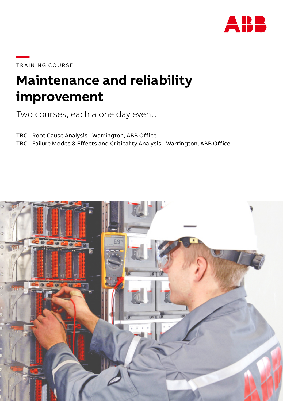

**—**TRAINING COURSE

# **Maintenance and reliability improvement**

Two courses, each a one day event.

TBC - Root Cause Analysis - Warrington, ABB Office TBC - Failure Modes & Effects and Criticality Analysis - Warrington, ABB Office

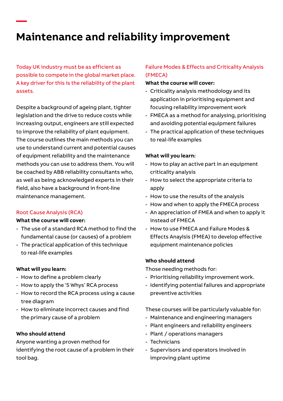## **Maintenance and reliability improvement**

Today UK industry must be as efficient as possible to compete in the global market place. A key driver for this is the reliability of the plant assets.

Despite a background of ageing plant, tighter legislation and the drive to reduce costs while increasing output, engineers are still expected to improve the reliability of plant equipment. The course outlines the main methods you can use to understand current and potential causes of equipment reliability and the maintenance methods you can use to address them. You will be coached by ABB reliability consultants who, as well as being acknowledged experts in their field, also have a background in front-line maintenance management.

#### Root Cause Analysis (RCA)

**—**

#### **What the course will cover:**

- The use of a standard RCA method to find the fundamental cause (or causes) of a problem
- The practical application of this technique to real-life examples

#### **What will you learn:**

- How to define a problem clearly
- How to apply the '5 Whys' RCA process
- How to record the RCA process using a cause tree diagram
- How to eliminate incorrect causes and find the primary cause of a problem

#### **Who should attend**

Anyone wanting a proven method for identifying the root cause of a problem in their tool bag.

## Failure Modes & Effects and Criticality Analysis (FMECA)

## **What the course will cover:**

- Criticality analysis methodology and its application in prioritising equipment and focusing reliability improvement work
- FMECA as a method for analysing, prioritising and avoiding potential equipment failures
- The practical application of these techniques to real-life examples

#### **What will you learn:**

- How to play an active part in an equipment criticality analysis
- How to select the appropriate criteria to apply
- How to use the results of the analysis
- How and when to apply the FMECA process
- An appreciation of FMEA and when to apply it instead of FMECA
- How to use FMECA and Failure Modes & Effects Anaylsis (FMEA) to develop effective equipment maintenance policies

#### **Who should attend**

Those needing methods for:

- Prioritising reliability improvement work.
- Identifying potential failures and appropriate preventive activities

These courses will be particularly valuable for:

- Maintenance and engineering managers
- Plant engineers and reliability engineers
- Plant / operations managers
- Technicians
- Supervisors and operators involved in improving plant uptime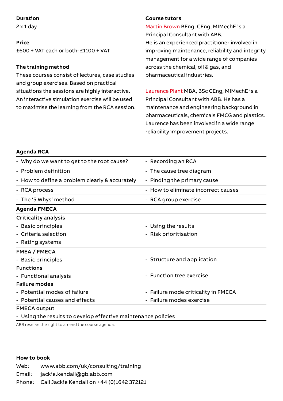## **Duration**

2 x 1 day

#### **Price**

£600 + VAT each or both: £1100 + VAT

#### **The training method**

These courses consist of lectures, case studies and group exercises. Based on practical situations the sessions are highly interactive. An interactive simulation exercise will be used to maximise the learning from the RCA session.

### **Course tutors**

Martin Brown BEng, CEng, MIMechE is a Principal Consultant with ABB. He is an experienced practitioner involved in improving maintenance, reliability and integrity management for a wide range of companies across the chemical, oil & gas, and pharmaceutical industries.

Laurence Plant MBA, BSc CEng, MIMechE is a Principal Consultant with ABB. He has a maintenance and engineering background in pharmaceuticals, chemicals FMCG and plastics. Laurence has been involved in a wide range reliability improvement projects.

| Agenda RCA                                     |                                     |
|------------------------------------------------|-------------------------------------|
| - Why do we want to get to the root cause?     | - Recording an RCA                  |
| - Problem definition                           | - The cause tree diagram            |
| - How to define a problem clearly & accurately | - Finding the primary cause         |
| - RCA process                                  | - How to eliminate incorrect causes |
| - The '5 Whys' method                          | - RCA group exercise                |
| <b>Agenda FMECA</b>                            |                                     |
| <b>Criticality analysis</b>                    |                                     |
| - Basic principles                             | - Using the results                 |
| - Criteria selection                           | - Risk prioritisation               |
| - Rating systems                               |                                     |
| FMEA / FMECA                                   |                                     |
| - Basic principles                             | - Structure and application         |
| <b>Functions</b>                               |                                     |
| - Functional analysis                          | - Function tree exercise            |
| <b>Failure modes</b>                           |                                     |
| - Potential modes of failure                   | - Failure mode criticality in FMECA |
| - Potential causes and effects                 | - Failure modes exercise            |
| <b>FMECA output</b>                            |                                     |
|                                                |                                     |

- Using the results to develop effective maintenance policies

ABB reserve the right to amend the course agenda.

#### **How to book**

Web: www.abb.com/uk/consulting/training Email: jackie.kendall@gb.abb.com Phone: Call Jackie Kendall on +44 (0)1642 372121